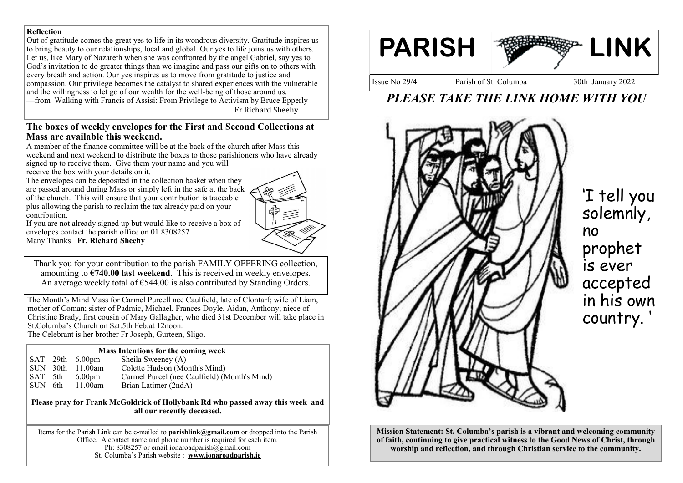#### **Reflection**

Out of gratitude comes the great yes to life in its wondrous diversity. Gratitude inspires us to bring beauty to our relationships, local and global. Our yes to life joins us with others. Let us, like Mary of Nazareth when she was confronted by the angel Gabriel, say yes to God's invitation to do greater things than we imagine and pass our gifts on to others with every breath and action. Our yes inspires us to move from gratitude to justice and compassion. Our privilege becomes the catalyst to shared experiences with the vulnerable and the willingness to let go of our wealth for the well-being of those around us. —from Walking with Francis of Assisi: From Privilege to Activism by Bruce Epperly Fr Richard Sheehy

#### **The boxes of weekly envelopes for the First and Second Collections at Mass are available this weekend.**

A member of the finance committee will be at the back of the church after Mass this weekend and next weekend to distribute the boxes to those parishioners who have already signed up to receive them. Give them your name and you will receive the box with your details on it.

The envelopes can be deposited in the collection basket when they are passed around during Mass or simply left in the safe at the back of the church. This will ensure that your contribution is traceable plus allowing the parish to reclaim the tax already paid on your contribution.



If you are not already signed up but would like to receive a box of envelopes contact the parish office on 01 8308257 Many Thanks **Fr. Richard Sheehy**

Thank you for your contribution to the parish FAMILY OFFERING collection, amounting to **€740.00 last weekend.** This is received in weekly envelopes. An average weekly total of  $\epsilon$ 544.00 is also contributed by Standing Orders.

The Month's Mind Mass for Carmel Purcell nee Caulfield, late of Clontarf; wife of Liam, mother of Coman; sister of Padraic, Michael, Frances Doyle, Aidan, Anthony; niece of Christine Brady, first cousin of Mary Gallagher, who died 31st December will take place in St.Columba's Church on Sat.5th Feb.at 12noon. The Celebrant is her brother Fr Joseph, Gurteen, Sligo.

**Mass Intentions for the coming week**

| <b>NET INTERVIEWS TO LATE COMMANDER SERVICES</b> |  |                         |                                              |
|--------------------------------------------------|--|-------------------------|----------------------------------------------|
|                                                  |  | $\vert$ SAT 29th 6.00pm | Sheila Sweeney (A)                           |
|                                                  |  | ISUN 30th 11.00am       | Colette Hudson (Month's Mind)                |
| SAT 5th                                          |  | 6.00 <sub>pm</sub>      | Carmel Purcel (nee Caulfield) (Month's Mind) |
| SUN 6th                                          |  | 11.00am                 | Brian Latimer (2ndA)                         |

**Please pray for Frank McGoldrick of Hollybank Rd who passed away this week and all our recently deceased.**

Items for the Parish Link can be e-mailed to **parishlink@gmail.com** or dropped into the Parish Office. A contact name and phone number is required for each item. Ph: 8308257 or email ionaroadparish $@g$ gmail.com St. Columba's Parish website : **www.ionaroadparish.ie** 



Issue No 29/4 Parish of St. Columba 30th January 2022

# *PLEASE TAKE THE LINK HOME WITH YOU*



'I tell you solemnly, no prophet is ever accepted in his own country. '

**Mission Statement: St. Columba's parish is a vibrant and welcoming community of faith, continuing to give practical witness to the Good News of Christ, through worship and reflection, and through Christian service to the community.**